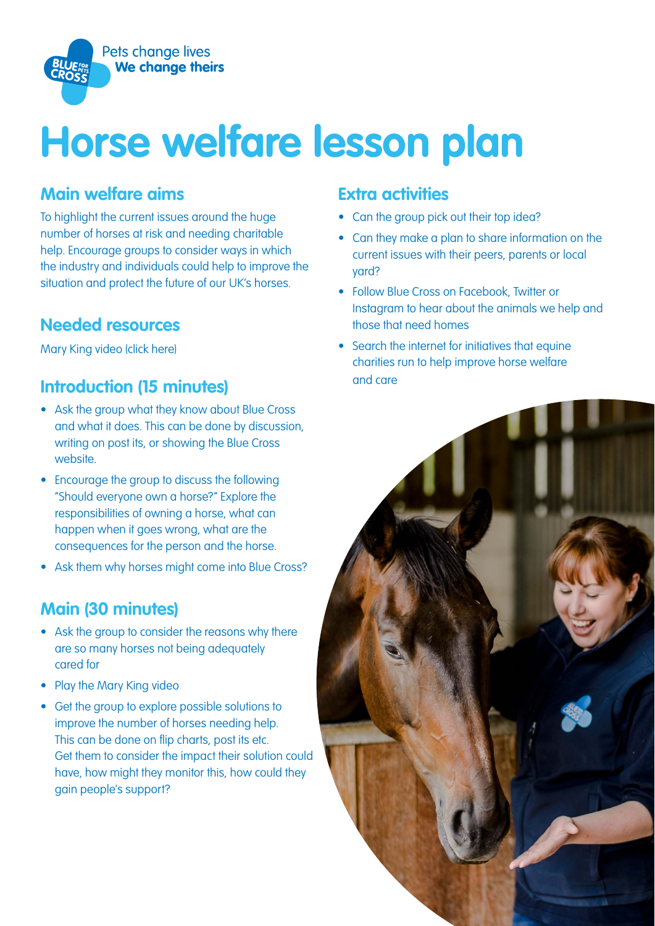

# **Horse welfare lesson plan**

## **Main welfare aims**

To highlight the current issues around the huge number of horses at risk and needing charitable help. Encourage groups to consider ways in which the industry and individuals could help to improve the situation and protect the future of our UK's horses.

# **Needed resources**

[Mary King video \(click here\)](https://vimeo.com/user94433546/review/346882423/9d6e1a56bf) 

# **Introduction (15 minutes)**

- Ask the group what they know about Blue Cross and what it does. This can be done by discussion, writing on post its, or showing the Blue Cross website.
- Encourage the group to discuss the following "Should everyone own a horse?" Explore the responsibilities of owning a horse, what can happen when it goes wrong, what are the consequences for the person and the horse.
- Ask them why horses might come into Blue Cross?

# **Main (30 minutes)**

- Ask the group to consider the reasons why there are so many horses not being adequately cared for
- Play the Mary King video
- Get the group to explore possible solutions to improve the number of horses needing help. This can be done on flip charts, post its etc. Get them to consider the impact their solution could have, how might they monitor this, how could they gain people's support?

#### **Extra activities**

- Can the group pick out their top idea?
- Can they make a plan to share information on the current issues with their peers, parents or local yard?
- Follow Blue Cross on Facebook, Twitter or Instagram to hear about the animals we help and those that need homes
- Search the internet for initiatives that equine charities run to help improve horse welfare and care